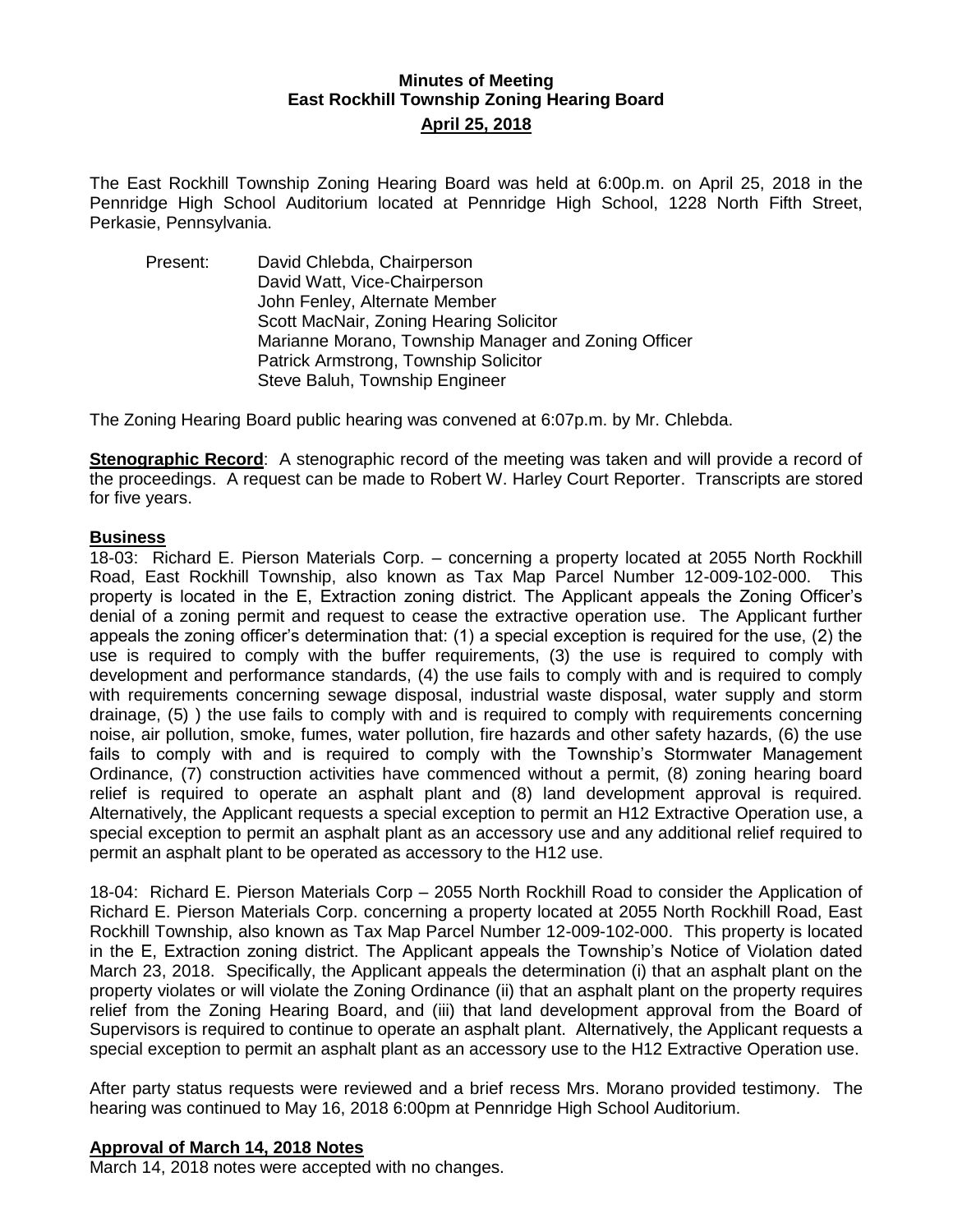## **Minutes of Meeting East Rockhill Township Zoning Hearing Board April 25, 2018**

The East Rockhill Township Zoning Hearing Board was held at 6:00p.m. on April 25, 2018 in the Pennridge High School Auditorium located at Pennridge High School, 1228 North Fifth Street, Perkasie, Pennsylvania.

Present: David Chlebda, Chairperson David Watt, Vice-Chairperson John Fenley, Alternate Member Scott MacNair, Zoning Hearing Solicitor Marianne Morano, Township Manager and Zoning Officer Patrick Armstrong, Township Solicitor Steve Baluh, Township Engineer

The Zoning Hearing Board public hearing was convened at 6:07p.m. by Mr. Chlebda.

**Stenographic Record**: A stenographic record of the meeting was taken and will provide a record of the proceedings. A request can be made to Robert W. Harley Court Reporter. Transcripts are stored for five years.

#### **Business**

18-03: Richard E. Pierson Materials Corp. – concerning a property located at 2055 North Rockhill Road, East Rockhill Township, also known as Tax Map Parcel Number 12-009-102-000. This property is located in the E, Extraction zoning district. The Applicant appeals the Zoning Officer's denial of a zoning permit and request to cease the extractive operation use. The Applicant further appeals the zoning officer's determination that: (1) a special exception is required for the use, (2) the use is required to comply with the buffer requirements, (3) the use is required to comply with development and performance standards, (4) the use fails to comply with and is required to comply with requirements concerning sewage disposal, industrial waste disposal, water supply and storm drainage, (5) ) the use fails to comply with and is required to comply with requirements concerning noise, air pollution, smoke, fumes, water pollution, fire hazards and other safety hazards, (6) the use fails to comply with and is required to comply with the Township's Stormwater Management Ordinance, (7) construction activities have commenced without a permit, (8) zoning hearing board relief is required to operate an asphalt plant and (8) land development approval is required. Alternatively, the Applicant requests a special exception to permit an H12 Extractive Operation use, a special exception to permit an asphalt plant as an accessory use and any additional relief required to permit an asphalt plant to be operated as accessory to the H12 use.

18-04: Richard E. Pierson Materials Corp – 2055 North Rockhill Road to consider the Application of Richard E. Pierson Materials Corp. concerning a property located at 2055 North Rockhill Road, East Rockhill Township, also known as Tax Map Parcel Number 12-009-102-000. This property is located in the E, Extraction zoning district. The Applicant appeals the Township's Notice of Violation dated March 23, 2018. Specifically, the Applicant appeals the determination (i) that an asphalt plant on the property violates or will violate the Zoning Ordinance (ii) that an asphalt plant on the property requires relief from the Zoning Hearing Board, and (iii) that land development approval from the Board of Supervisors is required to continue to operate an asphalt plant. Alternatively, the Applicant requests a special exception to permit an asphalt plant as an accessory use to the H12 Extractive Operation use.

After party status requests were reviewed and a brief recess Mrs. Morano provided testimony. The hearing was continued to May 16, 2018 6:00pm at Pennridge High School Auditorium.

#### **Approval of March 14, 2018 Notes**

March 14, 2018 notes were accepted with no changes.